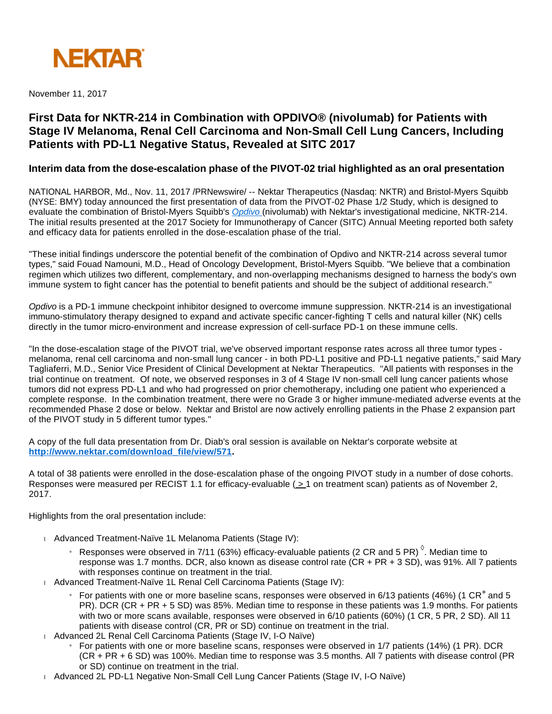

November 11, 2017

# **First Data for NKTR-214 in Combination with OPDIVO® (nivolumab) for Patients with Stage IV Melanoma, Renal Cell Carcinoma and Non-Small Cell Lung Cancers, Including Patients with PD-L1 Negative Status, Revealed at SITC 2017**

# **Interim data from the dose-escalation phase of the PIVOT-02 trial highlighted as an oral presentation**

NATIONAL HARBOR, Md., Nov. 11, 2017 /PRNewswire/ -- Nektar Therapeutics (Nasdaq: NKTR) and Bristol-Myers Squibb (NYSE: BMY) today announced the first presentation of data from the PIVOT-02 Phase 1/2 Study, which is designed to evaluate the combination of Bristol-Myers Squibb's *[Opdivo](http://cts.businesswire.com/ct/CT?id=smartlink&url=http%3A%2F%2Fwww.bms.com%2Fproducts%2FPages%2Fhome.aspx&esheet=51427499&newsitemid=20160927005231&lan=en-US&anchor=Opdivo&index=3&md5=a2768eb5867a08cab033b47bdce304ca)* (nivolumab) with Nektar's investigational medicine, NKTR-214. The initial results presented at the 2017 Society for Immunotherapy of Cancer (SITC) Annual Meeting reported both safety and efficacy data for patients enrolled in the dose-escalation phase of the trial.

"These initial findings underscore the potential benefit of the combination of Opdivo and NKTR-214 across several tumor types," said Fouad Namouni, M.D., Head of Oncology Development, Bristol-Myers Squibb. "We believe that a combination regimen which utilizes two different, complementary, and non-overlapping mechanisms designed to harness the body's own immune system to fight cancer has the potential to benefit patients and should be the subject of additional research."

Opdivo is a PD-1 immune checkpoint inhibitor designed to overcome immune suppression. NKTR-214 is an investigational immuno-stimulatory therapy designed to expand and activate specific cancer-fighting T cells and natural killer (NK) cells directly in the tumor micro-environment and increase expression of cell-surface PD-1 on these immune cells.

"In the dose-escalation stage of the PIVOT trial, we've observed important response rates across all three tumor types melanoma, renal cell carcinoma and non-small lung cancer - in both PD-L1 positive and PD-L1 negative patients," said Mary Tagliaferri, M.D., Senior Vice President of Clinical Development at Nektar Therapeutics. "All patients with responses in the trial continue on treatment. Of note, we observed responses in 3 of 4 Stage IV non-small cell lung cancer patients whose tumors did not express PD-L1 and who had progressed on prior chemotherapy, including one patient who experienced a complete response. In the combination treatment, there were no Grade 3 or higher immune-mediated adverse events at the recommended Phase 2 dose or below. Nektar and Bristol are now actively enrolling patients in the Phase 2 expansion part of the PIVOT study in 5 different tumor types."

A copy of the full data presentation from Dr. Diab's oral session is available on Nektar's corporate website at **[http://www.nektar.com/download\\_file/view/571](http://www.nektar.com/download_file/view/571).**

A total of 38 patients were enrolled in the dose-escalation phase of the ongoing PIVOT study in a number of dose cohorts. Responses were measured per RECIST 1.1 for efficacy-evaluable ( > 1 on treatment scan) patients as of November 2, 2017.

Highlights from the oral presentation include:

- Advanced Treatment-Naïve 1L Melanoma Patients (Stage IV):
	- $_1$  Responses were observed in 7/11 (63%) efficacy-evaluable patients (2 CR and 5 PR)  $^\lozenge$ . Median time to response was 1.7 months. DCR, also known as disease control rate (CR + PR + 3 SD), was 91%. All 7 patients with responses continue on treatment in the trial.
- Advanced Treatment-Naïve 1L Renal Cell Carcinoma Patients (Stage IV):
	- For patients with one or more baseline scans, responses were observed in 6/13 patients (46%) (1 CR<sup>+</sup> and 5 PR). DCR (CR + PR + 5 SD) was 85%. Median time to response in these patients was 1.9 months. For patients with two or more scans available, responses were observed in 6/10 patients (60%) (1 CR, 5 PR, 2 SD). All 11 patients with disease control (CR, PR or SD) continue on treatment in the trial.
- Advanced 2L Renal Cell Carcinoma Patients (Stage IV, I-O Naïve)
	- » For patients with one or more baseline scans, responses were observed in 1/7 patients (14%) (1 PR). DCR (CR + PR + 6 SD) was 100%. Median time to response was 3.5 months. All 7 patients with disease control (PR or SD) continue on treatment in the trial.
- Advanced 2L PD-L1 Negative Non-Small Cell Lung Cancer Patients (Stage IV, I-O Naïve)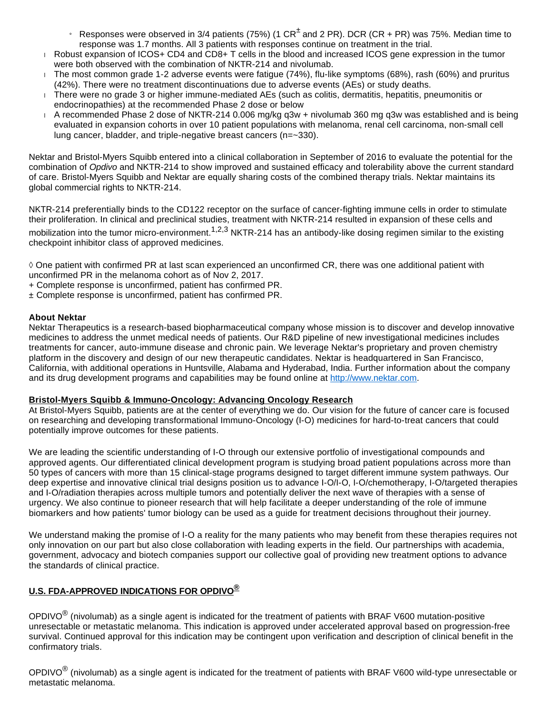- Responses were observed in 3/4 patients (75%) (1 CR<sup> $\pm$ </sup> and 2 PR). DCR (CR + PR) was 75%. Median time to response was 1.7 months. All 3 patients with responses continue on treatment in the trial.
- Robust expansion of ICOS+ CD4 and CD8+ T cells in the blood and increased ICOS gene expression in the tumor were both observed with the combination of NKTR-214 and nivolumab.
- The most common grade 1-2 adverse events were fatigue (74%), flu-like symptoms (68%), rash (60%) and pruritus (42%). There were no treatment discontinuations due to adverse events (AEs) or study deaths.
- There were no grade 3 or higher immune-mediated AEs (such as colitis, dermatitis, hepatitis, pneumonitis or endocrinopathies) at the recommended Phase 2 dose or below
- $A$  recommended Phase 2 dose of NKTR-214 0.006 mg/kg q3w + nivolumab 360 mg q3w was established and is being evaluated in expansion cohorts in over 10 patient populations with melanoma, renal cell carcinoma, non-small cell lung cancer, bladder, and triple-negative breast cancers (n=~330).

Nektar and Bristol-Myers Squibb entered into a clinical collaboration in September of 2016 to evaluate the potential for the combination of Opdivo and NKTR-214 to show improved and sustained efficacy and tolerability above the current standard of care. Bristol-Myers Squibb and Nektar are equally sharing costs of the combined therapy trials. Nektar maintains its global commercial rights to NKTR-214.

NKTR-214 preferentially binds to the CD122 receptor on the surface of cancer-fighting immune cells in order to stimulate their proliferation. In clinical and preclinical studies, treatment with NKTR-214 resulted in expansion of these cells and

mobilization into the tumor micro-environment.<sup>1,2,3</sup> NKTR-214 has an antibody-like dosing regimen similar to the existing checkpoint inhibitor class of approved medicines.

 $\Diamond$  One patient with confirmed PR at last scan experienced an unconfirmed CR, there was one additional patient with unconfirmed PR in the melanoma cohort as of Nov 2, 2017.

- + Complete response is unconfirmed, patient has confirmed PR.
- ± Complete response is unconfirmed, patient has confirmed PR.

## **About Nektar**

Nektar Therapeutics is a research-based biopharmaceutical company whose mission is to discover and develop innovative medicines to address the unmet medical needs of patients. Our R&D pipeline of new investigational medicines includes treatments for cancer, auto-immune disease and chronic pain. We leverage Nektar's proprietary and proven chemistry platform in the discovery and design of our new therapeutic candidates. Nektar is headquartered in San Francisco, California, with additional operations in Huntsville, Alabama and Hyderabad, India. Further information about the company and its drug development programs and capabilities may be found online at [http://www.nektar.com](http://www.nektar.com/).

## **Bristol-Myers Squibb & Immuno-Oncology: Advancing Oncology Research**

At Bristol-Myers Squibb, patients are at the center of everything we do. Our vision for the future of cancer care is focused on researching and developing transformational Immuno-Oncology (I-O) medicines for hard-to-treat cancers that could potentially improve outcomes for these patients.

We are leading the scientific understanding of I-O through our extensive portfolio of investigational compounds and approved agents. Our differentiated clinical development program is studying broad patient populations across more than 50 types of cancers with more than 15 clinical-stage programs designed to target different immune system pathways. Our deep expertise and innovative clinical trial designs position us to advance I-O/I-O, I-O/chemotherapy, I-O/targeted therapies and I-O/radiation therapies across multiple tumors and potentially deliver the next wave of therapies with a sense of urgency. We also continue to pioneer research that will help facilitate a deeper understanding of the role of immune biomarkers and how patients' tumor biology can be used as a guide for treatment decisions throughout their journey.

We understand making the promise of I-O a reality for the many patients who may benefit from these therapies requires not only innovation on our part but also close collaboration with leading experts in the field. Our partnerships with academia, government, advocacy and biotech companies support our collective goal of providing new treatment options to advance the standards of clinical practice.

# **U.S. FDA-APPROVED INDICATIONS FOR OPDIVO®**

OPDIVO<sup>®</sup> (nivolumab) as a single agent is indicated for the treatment of patients with BRAF V600 mutation-positive unresectable or metastatic melanoma. This indication is approved under accelerated approval based on progression-free survival. Continued approval for this indication may be contingent upon verification and description of clinical benefit in the confirmatory trials.

OPDIVO $^\circledR$  (nivolumab) as a single agent is indicated for the treatment of patients with BRAF V600 wild-type unresectable or metastatic melanoma.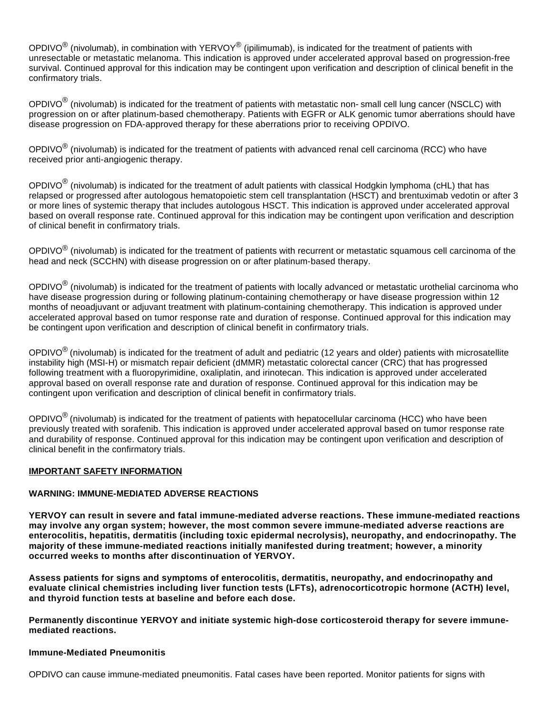OPDIVO<sup>®</sup> (nivolumab), in combination with YERVOY<sup>®</sup> (ipilimumab), is indicated for the treatment of patients with unresectable or metastatic melanoma. This indication is approved under accelerated approval based on progression-free survival. Continued approval for this indication may be contingent upon verification and description of clinical benefit in the confirmatory trials.

OPDIVO $^\circledR$  (nivolumab) is indicated for the treatment of patients with metastatic non-small cell lung cancer (NSCLC) with progression on or after platinum-based chemotherapy. Patients with EGFR or ALK genomic tumor aberrations should have disease progression on FDA-approved therapy for these aberrations prior to receiving OPDIVO.

OPDIVO<sup>®</sup> (nivolumab) is indicated for the treatment of patients with advanced renal cell carcinoma (RCC) who have received prior anti-angiogenic therapy.

OPDIVO $^\circledR$  (nivolumab) is indicated for the treatment of adult patients with classical Hodgkin lymphoma (cHL) that has relapsed or progressed after autologous hematopoietic stem cell transplantation (HSCT) and brentuximab vedotin or after 3 or more lines of systemic therapy that includes autologous HSCT. This indication is approved under accelerated approval based on overall response rate. Continued approval for this indication may be contingent upon verification and description of clinical benefit in confirmatory trials.

OPDIVO<sup>®</sup> (nivolumab) is indicated for the treatment of patients with recurrent or metastatic squamous cell carcinoma of the head and neck (SCCHN) with disease progression on or after platinum-based therapy.

OPDIVO $^\circledR$  (nivolumab) is indicated for the treatment of patients with locally advanced or metastatic urothelial carcinoma who have disease progression during or following platinum-containing chemotherapy or have disease progression within 12 months of neoadjuvant or adjuvant treatment with platinum-containing chemotherapy. This indication is approved under accelerated approval based on tumor response rate and duration of response. Continued approval for this indication may be contingent upon verification and description of clinical benefit in confirmatory trials.

OPDIVO<sup>®</sup> (nivolumab) is indicated for the treatment of adult and pediatric (12 years and older) patients with microsatellite instability high (MSI-H) or mismatch repair deficient (dMMR) metastatic colorectal cancer (CRC) that has progressed following treatment with a fluoropyrimidine, oxaliplatin, and irinotecan. This indication is approved under accelerated approval based on overall response rate and duration of response. Continued approval for this indication may be contingent upon verification and description of clinical benefit in confirmatory trials.

OPDIVO<sup>®</sup> (nivolumab) is indicated for the treatment of patients with hepatocellular carcinoma (HCC) who have been previously treated with sorafenib. This indication is approved under accelerated approval based on tumor response rate and durability of response. Continued approval for this indication may be contingent upon verification and description of clinical benefit in the confirmatory trials.

## **IMPORTANT SAFETY INFORMATION**

## **WARNING: IMMUNE-MEDIATED ADVERSE REACTIONS**

**YERVOY can result in severe and fatal immune-mediated adverse reactions. These immune-mediated reactions may involve any organ system; however, the most common severe immune-mediated adverse reactions are enterocolitis, hepatitis, dermatitis (including toxic epidermal necrolysis), neuropathy, and endocrinopathy. The majority of these immune-mediated reactions initially manifested during treatment; however, a minority occurred weeks to months after discontinuation of YERVOY.** 

**Assess patients for signs and symptoms of enterocolitis, dermatitis, neuropathy, and endocrinopathy and evaluate clinical chemistries including liver function tests (LFTs), adrenocorticotropic hormone (ACTH) level, and thyroid function tests at baseline and before each dose.**

**Permanently discontinue YERVOY and initiate systemic high-dose corticosteroid therapy for severe immunemediated reactions.**

## **Immune-Mediated Pneumonitis**

OPDIVO can cause immune-mediated pneumonitis. Fatal cases have been reported. Monitor patients for signs with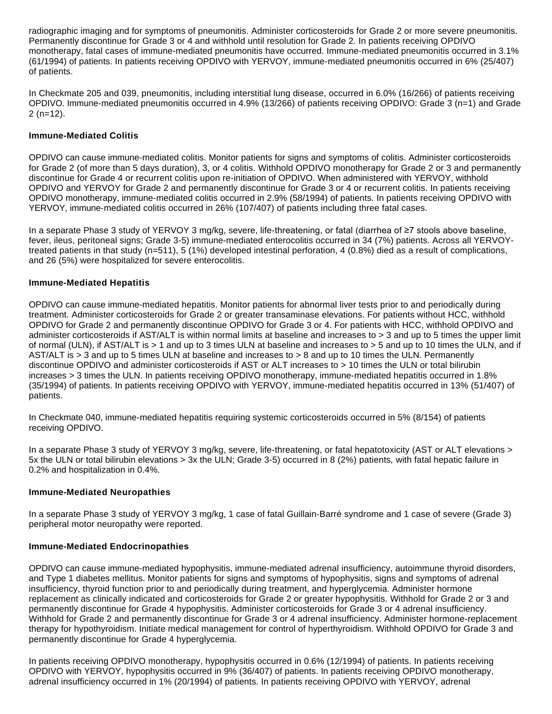radiographic imaging and for symptoms of pneumonitis. Administer corticosteroids for Grade 2 or more severe pneumonitis. Permanently discontinue for Grade 3 or 4 and withhold until resolution for Grade 2. In patients receiving OPDIVO monotherapy, fatal cases of immune-mediated pneumonitis have occurred. Immune-mediated pneumonitis occurred in 3.1% (61/1994) of patients. In patients receiving OPDIVO with YERVOY, immune-mediated pneumonitis occurred in 6% (25/407) of patients.

In Checkmate 205 and 039, pneumonitis, including interstitial lung disease, occurred in 6.0% (16/266) of patients receiving OPDIVO. Immune-mediated pneumonitis occurred in 4.9% (13/266) of patients receiving OPDIVO: Grade 3 (n=1) and Grade 2 (n=12).

# **Immune-Mediated Colitis**

OPDIVO can cause immune-mediated colitis. Monitor patients for signs and symptoms of colitis. Administer corticosteroids for Grade 2 (of more than 5 days duration), 3, or 4 colitis. Withhold OPDIVO monotherapy for Grade 2 or 3 and permanently discontinue for Grade 4 or recurrent colitis upon re-initiation of OPDIVO. When administered with YERVOY, withhold OPDIVO and YERVOY for Grade 2 and permanently discontinue for Grade 3 or 4 or recurrent colitis. In patients receiving OPDIVO monotherapy, immune-mediated colitis occurred in 2.9% (58/1994) of patients. In patients receiving OPDIVO with YERVOY, immune-mediated colitis occurred in 26% (107/407) of patients including three fatal cases.

In a separate Phase 3 study of YERVOY 3 mg/kg, severe, life-threatening, or fatal (diarrhea of ≥7 stools above baseline, fever, ileus, peritoneal signs; Grade 3-5) immune-mediated enterocolitis occurred in 34 (7%) patients. Across all YERVOYtreated patients in that study (n=511), 5 (1%) developed intestinal perforation, 4 (0.8%) died as a result of complications, and 26 (5%) were hospitalized for severe enterocolitis.

## **Immune-Mediated Hepatitis**

OPDIVO can cause immune-mediated hepatitis. Monitor patients for abnormal liver tests prior to and periodically during treatment. Administer corticosteroids for Grade 2 or greater transaminase elevations. For patients without HCC, withhold OPDIVO for Grade 2 and permanently discontinue OPDIVO for Grade 3 or 4. For patients with HCC, withhold OPDIVO and administer corticosteroids if AST/ALT is within normal limits at baseline and increases to > 3 and up to 5 times the upper limit of normal (ULN), if AST/ALT is > 1 and up to 3 times ULN at baseline and increases to > 5 and up to 10 times the ULN, and if AST/ALT is > 3 and up to 5 times ULN at baseline and increases to > 8 and up to 10 times the ULN. Permanently discontinue OPDIVO and administer corticosteroids if AST or ALT increases to > 10 times the ULN or total bilirubin increases > 3 times the ULN. In patients receiving OPDIVO monotherapy, immune-mediated hepatitis occurred in 1.8% (35/1994) of patients. In patients receiving OPDIVO with YERVOY, immune-mediated hepatitis occurred in 13% (51/407) of patients.

In Checkmate 040, immune-mediated hepatitis requiring systemic corticosteroids occurred in 5% (8/154) of patients receiving OPDIVO.

In a separate Phase 3 study of YERVOY 3 mg/kg, severe, life-threatening, or fatal hepatotoxicity (AST or ALT elevations > 5x the ULN or total bilirubin elevations > 3x the ULN; Grade 3-5) occurred in 8 (2%) patients, with fatal hepatic failure in 0.2% and hospitalization in 0.4%.

## **Immune-Mediated Neuropathies**

In a separate Phase 3 study of YERVOY 3 mg/kg, 1 case of fatal Guillain-Barré syndrome and 1 case of severe (Grade 3) peripheral motor neuropathy were reported.

## **Immune-Mediated Endocrinopathies**

OPDIVO can cause immune-mediated hypophysitis, immune-mediated adrenal insufficiency, autoimmune thyroid disorders, and Type 1 diabetes mellitus. Monitor patients for signs and symptoms of hypophysitis, signs and symptoms of adrenal insufficiency, thyroid function prior to and periodically during treatment, and hyperglycemia. Administer hormone replacement as clinically indicated and corticosteroids for Grade 2 or greater hypophysitis. Withhold for Grade 2 or 3 and permanently discontinue for Grade 4 hypophysitis. Administer corticosteroids for Grade 3 or 4 adrenal insufficiency. Withhold for Grade 2 and permanently discontinue for Grade 3 or 4 adrenal insufficiency. Administer hormone-replacement therapy for hypothyroidism. Initiate medical management for control of hyperthyroidism. Withhold OPDIVO for Grade 3 and permanently discontinue for Grade 4 hyperglycemia.

In patients receiving OPDIVO monotherapy, hypophysitis occurred in 0.6% (12/1994) of patients. In patients receiving OPDIVO with YERVOY, hypophysitis occurred in 9% (36/407) of patients. In patients receiving OPDIVO monotherapy, adrenal insufficiency occurred in 1% (20/1994) of patients. In patients receiving OPDIVO with YERVOY, adrenal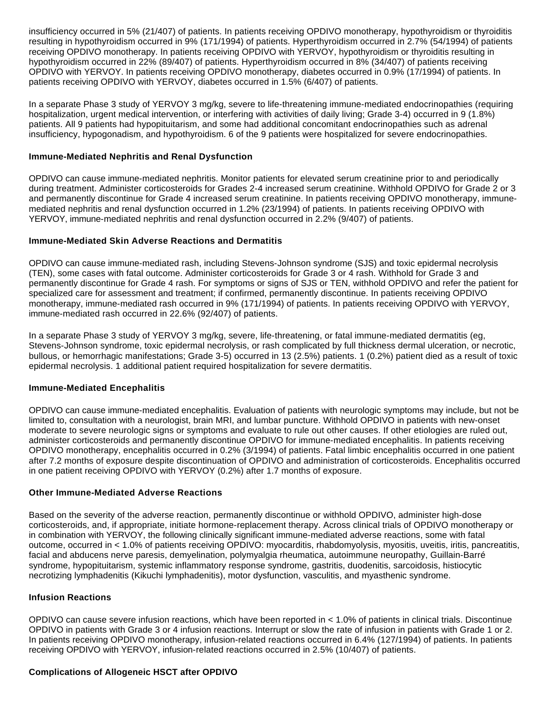insufficiency occurred in 5% (21/407) of patients. In patients receiving OPDIVO monotherapy, hypothyroidism or thyroiditis resulting in hypothyroidism occurred in 9% (171/1994) of patients. Hyperthyroidism occurred in 2.7% (54/1994) of patients receiving OPDIVO monotherapy. In patients receiving OPDIVO with YERVOY, hypothyroidism or thyroiditis resulting in hypothyroidism occurred in 22% (89/407) of patients. Hyperthyroidism occurred in 8% (34/407) of patients receiving OPDIVO with YERVOY. In patients receiving OPDIVO monotherapy, diabetes occurred in 0.9% (17/1994) of patients. In patients receiving OPDIVO with YERVOY, diabetes occurred in 1.5% (6/407) of patients.

In a separate Phase 3 study of YERVOY 3 mg/kg, severe to life-threatening immune-mediated endocrinopathies (requiring hospitalization, urgent medical intervention, or interfering with activities of daily living; Grade 3-4) occurred in 9 (1.8%) patients. All 9 patients had hypopituitarism, and some had additional concomitant endocrinopathies such as adrenal insufficiency, hypogonadism, and hypothyroidism. 6 of the 9 patients were hospitalized for severe endocrinopathies.

## **Immune-Mediated Nephritis and Renal Dysfunction**

OPDIVO can cause immune-mediated nephritis. Monitor patients for elevated serum creatinine prior to and periodically during treatment. Administer corticosteroids for Grades 2-4 increased serum creatinine. Withhold OPDIVO for Grade 2 or 3 and permanently discontinue for Grade 4 increased serum creatinine. In patients receiving OPDIVO monotherapy, immunemediated nephritis and renal dysfunction occurred in 1.2% (23/1994) of patients. In patients receiving OPDIVO with YERVOY, immune-mediated nephritis and renal dysfunction occurred in 2.2% (9/407) of patients.

## **Immune-Mediated Skin Adverse Reactions and Dermatitis**

OPDIVO can cause immune-mediated rash, including Stevens-Johnson syndrome (SJS) and toxic epidermal necrolysis (TEN), some cases with fatal outcome. Administer corticosteroids for Grade 3 or 4 rash. Withhold for Grade 3 and permanently discontinue for Grade 4 rash. For symptoms or signs of SJS or TEN, withhold OPDIVO and refer the patient for specialized care for assessment and treatment; if confirmed, permanently discontinue. In patients receiving OPDIVO monotherapy, immune-mediated rash occurred in 9% (171/1994) of patients. In patients receiving OPDIVO with YERVOY, immune-mediated rash occurred in 22.6% (92/407) of patients.

In a separate Phase 3 study of YERVOY 3 mg/kg, severe, life-threatening, or fatal immune-mediated dermatitis (eg, Stevens-Johnson syndrome, toxic epidermal necrolysis, or rash complicated by full thickness dermal ulceration, or necrotic, bullous, or hemorrhagic manifestations; Grade 3-5) occurred in 13 (2.5%) patients. 1 (0.2%) patient died as a result of toxic epidermal necrolysis. 1 additional patient required hospitalization for severe dermatitis.

## **Immune-Mediated Encephalitis**

OPDIVO can cause immune-mediated encephalitis. Evaluation of patients with neurologic symptoms may include, but not be limited to, consultation with a neurologist, brain MRI, and lumbar puncture. Withhold OPDIVO in patients with new-onset moderate to severe neurologic signs or symptoms and evaluate to rule out other causes. If other etiologies are ruled out, administer corticosteroids and permanently discontinue OPDIVO for immune-mediated encephalitis. In patients receiving OPDIVO monotherapy, encephalitis occurred in 0.2% (3/1994) of patients. Fatal limbic encephalitis occurred in one patient after 7.2 months of exposure despite discontinuation of OPDIVO and administration of corticosteroids. Encephalitis occurred in one patient receiving OPDIVO with YERVOY (0.2%) after 1.7 months of exposure.

## **Other Immune-Mediated Adverse Reactions**

Based on the severity of the adverse reaction, permanently discontinue or withhold OPDIVO, administer high-dose corticosteroids, and, if appropriate, initiate hormone-replacement therapy. Across clinical trials of OPDIVO monotherapy or in combination with YERVOY, the following clinically significant immune-mediated adverse reactions, some with fatal outcome, occurred in < 1.0% of patients receiving OPDIVO: myocarditis, rhabdomyolysis, myositis, uveitis, iritis, pancreatitis, facial and abducens nerve paresis, demyelination, polymyalgia rheumatica, autoimmune neuropathy, Guillain-Barré syndrome, hypopituitarism, systemic inflammatory response syndrome, gastritis, duodenitis, sarcoidosis, histiocytic necrotizing lymphadenitis (Kikuchi lymphadenitis), motor dysfunction, vasculitis, and myasthenic syndrome.

## **Infusion Reactions**

OPDIVO can cause severe infusion reactions, which have been reported in < 1.0% of patients in clinical trials. Discontinue OPDIVO in patients with Grade 3 or 4 infusion reactions. Interrupt or slow the rate of infusion in patients with Grade 1 or 2. In patients receiving OPDIVO monotherapy, infusion-related reactions occurred in 6.4% (127/1994) of patients. In patients receiving OPDIVO with YERVOY, infusion-related reactions occurred in 2.5% (10/407) of patients.

## **Complications of Allogeneic HSCT after OPDIVO**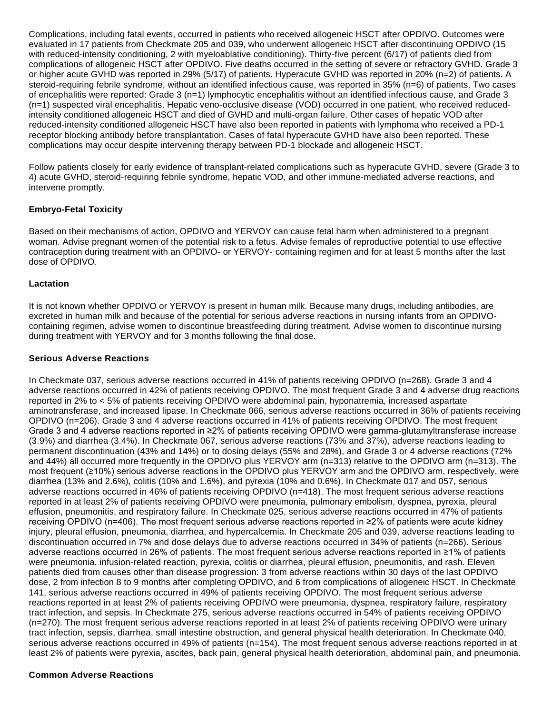Complications, including fatal events, occurred in patients who received allogeneic HSCT after OPDIVO. Outcomes were evaluated in 17 patients from Checkmate 205 and 039, who underwent allogeneic HSCT after discontinuing OPDIVO (15 with reduced-intensity conditioning, 2 with myeloablative conditioning). Thirty-five percent (6/17) of patients died from complications of allogeneic HSCT after OPDIVO. Five deaths occurred in the setting of severe or refractory GVHD. Grade 3 or higher acute GVHD was reported in 29% (5/17) of patients. Hyperacute GVHD was reported in 20% (n=2) of patients. A steroid-requiring febrile syndrome, without an identified infectious cause, was reported in 35% (n=6) of patients. Two cases of encephalitis were reported: Grade 3 (n=1) lymphocytic encephalitis without an identified infectious cause, and Grade 3 (n=1) suspected viral encephalitis. Hepatic veno-occlusive disease (VOD) occurred in one patient, who received reducedintensity conditioned allogeneic HSCT and died of GVHD and multi-organ failure. Other cases of hepatic VOD after reduced-intensity conditioned allogeneic HSCT have also been reported in patients with lymphoma who received a PD-1 receptor blocking antibody before transplantation. Cases of fatal hyperacute GVHD have also been reported. These complications may occur despite intervening therapy between PD-1 blockade and allogeneic HSCT.

Follow patients closely for early evidence of transplant-related complications such as hyperacute GVHD, severe (Grade 3 to 4) acute GVHD, steroid-requiring febrile syndrome, hepatic VOD, and other immune-mediated adverse reactions, and intervene promptly.

## **Embryo-Fetal Toxicity**

Based on their mechanisms of action, OPDIVO and YERVOY can cause fetal harm when administered to a pregnant woman. Advise pregnant women of the potential risk to a fetus. Advise females of reproductive potential to use effective contraception during treatment with an OPDIVO- or YERVOY- containing regimen and for at least 5 months after the last dose of OPDIVO.

#### **Lactation**

It is not known whether OPDIVO or YERVOY is present in human milk. Because many drugs, including antibodies, are excreted in human milk and because of the potential for serious adverse reactions in nursing infants from an OPDIVOcontaining regimen, advise women to discontinue breastfeeding during treatment. Advise women to discontinue nursing during treatment with YERVOY and for 3 months following the final dose.

#### **Serious Adverse Reactions**

In Checkmate 037, serious adverse reactions occurred in 41% of patients receiving OPDIVO (n=268). Grade 3 and 4 adverse reactions occurred in 42% of patients receiving OPDIVO. The most frequent Grade 3 and 4 adverse drug reactions reported in 2% to < 5% of patients receiving OPDIVO were abdominal pain, hyponatremia, increased aspartate aminotransferase, and increased lipase. In Checkmate 066, serious adverse reactions occurred in 36% of patients receiving OPDIVO (n=206). Grade 3 and 4 adverse reactions occurred in 41% of patients receiving OPDIVO. The most frequent Grade 3 and 4 adverse reactions reported in ≥2% of patients receiving OPDIVO were gamma-glutamyltransferase increase (3.9%) and diarrhea (3.4%). In Checkmate 067, serious adverse reactions (73% and 37%), adverse reactions leading to permanent discontinuation (43% and 14%) or to dosing delays (55% and 28%), and Grade 3 or 4 adverse reactions (72% and 44%) all occurred more frequently in the OPDIVO plus YERVOY arm (n=313) relative to the OPDIVO arm (n=313). The most frequent (≥10%) serious adverse reactions in the OPDIVO plus YERVOY arm and the OPDIVO arm, respectively, were diarrhea (13% and 2.6%), colitis (10% and 1.6%), and pyrexia (10% and 0.6%). In Checkmate 017 and 057, serious adverse reactions occurred in 46% of patients receiving OPDIVO (n=418). The most frequent serious adverse reactions reported in at least 2% of patients receiving OPDIVO were pneumonia, pulmonary embolism, dyspnea, pyrexia, pleural effusion, pneumonitis, and respiratory failure. In Checkmate 025, serious adverse reactions occurred in 47% of patients receiving OPDIVO (n=406). The most frequent serious adverse reactions reported in ≥2% of patients were acute kidney injury, pleural effusion, pneumonia, diarrhea, and hypercalcemia. In Checkmate 205 and 039, adverse reactions leading to discontinuation occurred in 7% and dose delays due to adverse reactions occurred in 34% of patients (n=266). Serious adverse reactions occurred in 26% of patients. The most frequent serious adverse reactions reported in ≥1% of patients were pneumonia, infusion-related reaction, pyrexia, colitis or diarrhea, pleural effusion, pneumonitis, and rash. Eleven patients died from causes other than disease progression: 3 from adverse reactions within 30 days of the last OPDIVO dose, 2 from infection 8 to 9 months after completing OPDIVO, and 6 from complications of allogeneic HSCT. In Checkmate 141, serious adverse reactions occurred in 49% of patients receiving OPDIVO. The most frequent serious adverse reactions reported in at least 2% of patients receiving OPDIVO were pneumonia, dyspnea, respiratory failure, respiratory tract infection, and sepsis. In Checkmate 275, serious adverse reactions occurred in 54% of patients receiving OPDIVO (n=270). The most frequent serious adverse reactions reported in at least 2% of patients receiving OPDIVO were urinary tract infection, sepsis, diarrhea, small intestine obstruction, and general physical health deterioration. In Checkmate 040, serious adverse reactions occurred in 49% of patients (n=154). The most frequent serious adverse reactions reported in at least 2% of patients were pyrexia, ascites, back pain, general physical health deterioration, abdominal pain, and pneumonia.

#### **Common Adverse Reactions**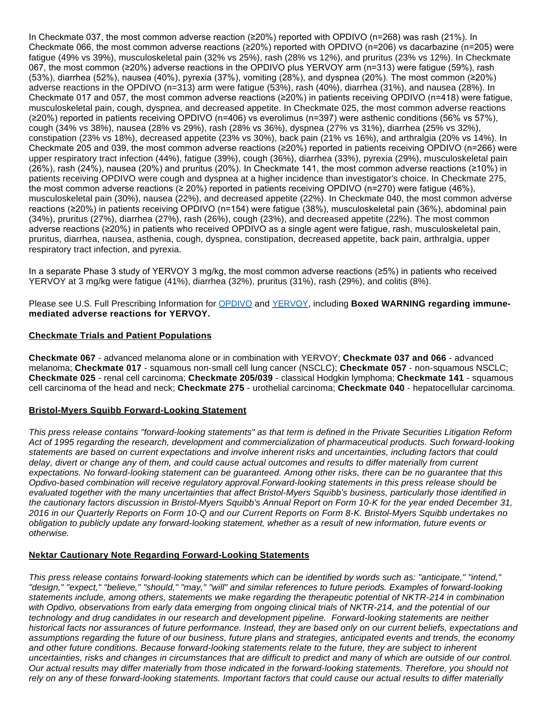In Checkmate 037, the most common adverse reaction (≥20%) reported with OPDIVO (n=268) was rash (21%). In Checkmate 066, the most common adverse reactions (≥20%) reported with OPDIVO (n=206) vs dacarbazine (n=205) were fatigue (49% vs 39%), musculoskeletal pain (32% vs 25%), rash (28% vs 12%), and pruritus (23% vs 12%). In Checkmate 067, the most common (≥20%) adverse reactions in the OPDIVO plus YERVOY arm (n=313) were fatigue (59%), rash (53%), diarrhea (52%), nausea (40%), pyrexia (37%), vomiting (28%), and dyspnea (20%). The most common (≥20%) adverse reactions in the OPDIVO (n=313) arm were fatigue (53%), rash (40%), diarrhea (31%), and nausea (28%). In Checkmate 017 and 057, the most common adverse reactions (≥20%) in patients receiving OPDIVO (n=418) were fatigue, musculoskeletal pain, cough, dyspnea, and decreased appetite. In Checkmate 025, the most common adverse reactions (≥20%) reported in patients receiving OPDIVO (n=406) vs everolimus (n=397) were asthenic conditions (56% vs 57%), cough (34% vs 38%), nausea (28% vs 29%), rash (28% vs 36%), dyspnea (27% vs 31%), diarrhea (25% vs 32%), constipation (23% vs 18%), decreased appetite (23% vs 30%), back pain (21% vs 16%), and arthralgia (20% vs 14%). In Checkmate 205 and 039, the most common adverse reactions (≥20%) reported in patients receiving OPDIVO (n=266) were upper respiratory tract infection (44%), fatigue (39%), cough (36%), diarrhea (33%), pyrexia (29%), musculoskeletal pain (26%), rash (24%), nausea (20%) and pruritus (20%). In Checkmate 141, the most common adverse reactions (≥10%) in patients receiving OPDIVO were cough and dyspnea at a higher incidence than investigator's choice. In Checkmate 275, the most common adverse reactions (≥ 20%) reported in patients receiving OPDIVO (n=270) were fatigue (46%), musculoskeletal pain (30%), nausea (22%), and decreased appetite (22%). In Checkmate 040, the most common adverse reactions (≥20%) in patients receiving OPDIVO (n=154) were fatigue (38%), musculoskeletal pain (36%), abdominal pain (34%), pruritus (27%), diarrhea (27%), rash (26%), cough (23%), and decreased appetite (22%). The most common adverse reactions (≥20%) in patients who received OPDIVO as a single agent were fatigue, rash, musculoskeletal pain, pruritus, diarrhea, nausea, asthenia, cough, dyspnea, constipation, decreased appetite, back pain, arthralgia, upper respiratory tract infection, and pyrexia.

In a separate Phase 3 study of YERVOY 3 mg/kg, the most common adverse reactions (≥5%) in patients who received YERVOY at 3 mg/kg were fatigue (41%), diarrhea (32%), pruritus (31%), rash (29%), and colitis (8%).

Please see U.S. Full Prescribing Information for [OPDIVO](https://packageinserts.bms.com/pi/pi_opdivo.pdf) and [YERVOY](https://packageinserts.bms.com/pi/pi_yervoy.pdf), including **Boxed WARNING regarding immunemediated adverse reactions for YERVOY.**

## **Checkmate Trials and Patient Populations**

**Checkmate 067** - advanced melanoma alone or in combination with YERVOY; **Checkmate 037 and 066** - advanced melanoma; **Checkmate 017** - squamous non-small cell lung cancer (NSCLC); **Checkmate 057** - non-squamous NSCLC; **Checkmate 025** - renal cell carcinoma; **Checkmate 205/039** - classical Hodgkin lymphoma; **Checkmate 141** - squamous cell carcinoma of the head and neck; **Checkmate 275** - urothelial carcinoma; **Checkmate 040** - hepatocellular carcinoma.

## **Bristol-Myers Squibb Forward-Looking Statement**

This press release contains "forward-looking statements" as that term is defined in the Private Securities Litigation Reform Act of 1995 regarding the research, development and commercialization of pharmaceutical products. Such forward-looking statements are based on current expectations and involve inherent risks and uncertainties, including factors that could delay, divert or change any of them, and could cause actual outcomes and results to differ materially from current expectations. No forward-looking statement can be guaranteed. Among other risks, there can be no guarantee that this Opdivo-based combination will receive regulatory approval.Forward-looking statements in this press release should be evaluated together with the many uncertainties that affect Bristol-Myers Squibb's business, particularly those identified in the cautionary factors discussion in Bristol-Myers Squibb's Annual Report on Form 10-K for the year ended December 31, 2016 in our Quarterly Reports on Form 10-Q and our Current Reports on Form 8-K. Bristol-Myers Squibb undertakes no obligation to publicly update any forward-looking statement, whether as a result of new information, future events or otherwise.

## **Nektar Cautionary Note Regarding Forward-Looking Statements**

This press release contains forward-looking statements which can be identified by words such as: "anticipate," "intend," "design," "expect," "believe," "should," "may," "will" and similar references to future periods. Examples of forward-looking statements include, among others, statements we make regarding the therapeutic potential of NKTR-214 in combination with Opdivo, observations from early data emerging from ongoing clinical trials of NKTR-214, and the potential of our technology and drug candidates in our research and development pipeline. Forward-looking statements are neither historical facts nor assurances of future performance. Instead, they are based only on our current beliefs, expectations and assumptions regarding the future of our business, future plans and strategies, anticipated events and trends, the economy and other future conditions. Because forward-looking statements relate to the future, they are subject to inherent uncertainties, risks and changes in circumstances that are difficult to predict and many of which are outside of our control. Our actual results may differ materially from those indicated in the forward-looking statements. Therefore, you should not rely on any of these forward-looking statements. Important factors that could cause our actual results to differ materially